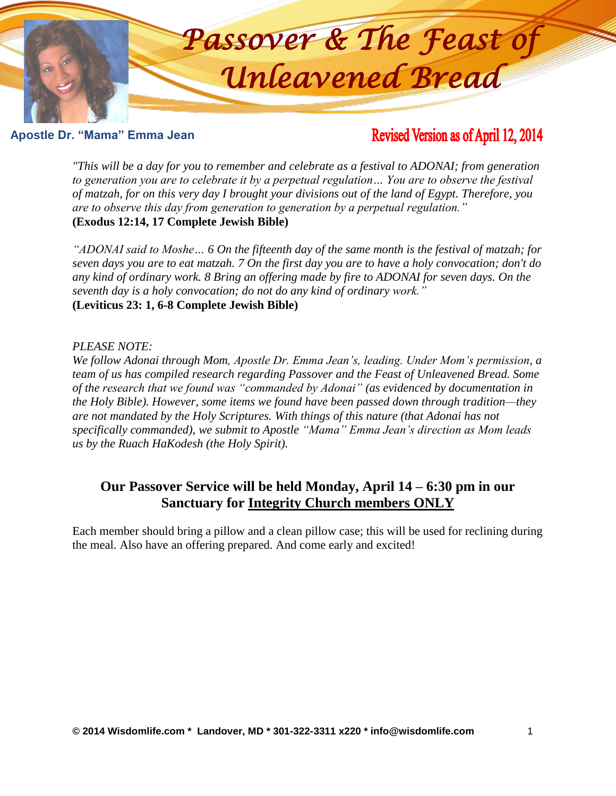

# **Apostle Dr. "Mama" Emma Jean**

# Revised Version as of April 12, 2014

*"This will be a day for you to remember and celebrate as a festival to ADONAI; from generation to generation you are to celebrate it by a perpetual regulation… You are to observe the festival*  of matzah, for on this very day I brought your divisions out of the land of Egypt. Therefore, you *are to observe this day from generation to generation by a perpetual regulation."* **(Exodus 12:14, 17 Complete Jewish Bible)** 

"*ADONAI said to Moshe...* 6 *On the fifteenth day of the same month is the festival of matzah; for seven days you are to eat matzah. 7 On the first day you are to have a holy convocation; don't do*  any kind of ordinary work. 8 Bring an offering made by fire to ADONAI for seven days. On the *seventh day is a holy convocation; do not do any kind of ordinary work."* **(Leviticus 23: 1, 6-8 Complete Jewish Bible)** 

#### *PLEASE NOTE:*

*We follow Adonai through Mom, Apostle Dr. Emma Jean's, leading. Under Mom's permission, a te follow Adonal Infough Moni, Aposite Dr. Emma Jean S, ledding. Onder Mom S permission, a*<br>team of us has compiled research regarding Passover and the Feast of Unleavened Bread. Some *of the research that we found was "commanded by Adonai"* (as evidenced by documentation in *the Holy Bible). However, some items we found have been passed down through tradition—they the Holy Bible). However, some items we found have been passed down through tradition—they* are not mandated by the Holy Scriptures. With things of this nature (that Adonai has not are not mandated by the Hoty Scriptures. With things of this nature (that Adonal has not<br>specifically commanded), we submit to Apostle "Mama" Emma Jean's direction as Mom leads *us by the Ruach HaKodesh (the Holy Spirit).* **Apostle Dr. "Mama" Emma Jean**

## Our Passover Service will be held Monday, April 14 – 6:30 pm in our **Sanctuary for Integrity Church members ONLY Apostle Dr. "Mama" Emma Jean**

Each member should bring a pillow and a clean pillow case; this will be used for reclining during Each member should bring a phlow and a clean phlow case, this will be the meal. Also have an offering prepared. And come early and excited! **Apostle Dr. Examples of "OU"**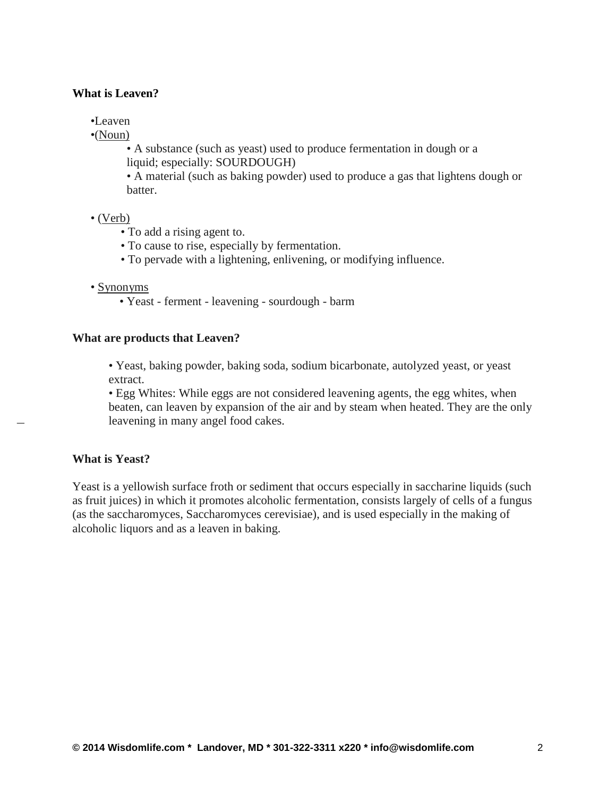#### **What is Leaven?**

•Leaven

•(Noun)

• A substance (such as yeast) used to produce fermentation in dough or a liquid; especially: SOURDOUGH)

• A material (such as baking powder) used to produce a gas that lightens dough or batter.

#### • (Verb)

- To add a rising agent to.
- To cause to rise, especially by fermentation.
- To pervade with a lightening, enlivening, or modifying influence.

#### • Synonyms

• Yeast - ferment - leavening - sourdough - barm

#### **What are products that Leaven?**

• Yeast, baking powder, baking soda, sodium bicarbonate, autolyzed yeast, or yeast extract.

• Egg Whites: While eggs are not considered leavening agents, the egg whites, when beaten, can leaven by expansion of the air and by steam when heated. They are the only leavening in many angel food cakes.

#### **What is Yeast?**

Yeast is a yellowish surface froth or sediment that occurs especially in saccharine liquids (such as fruit juices) in which it promotes alcoholic fermentation, consists largely of cells of a fungus (as the saccharomyces, Saccharomyces cerevisiae), and is used especially in the making of alcoholic liquors and as a leaven in baking.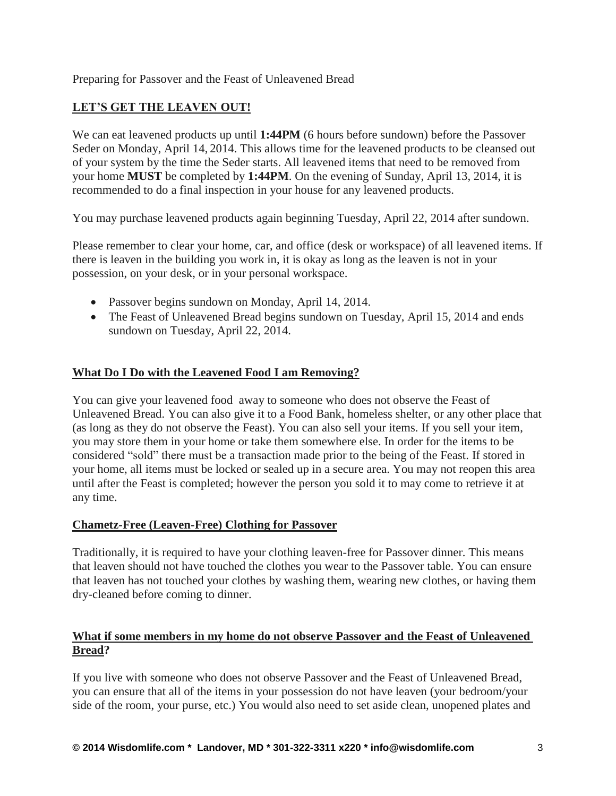Preparing for Passover and the Feast of Unleavened Bread

## **LET'S GET THE LEAVEN OUT!**

We can eat leavened products up until **1:44PM** (6 hours before sundown) before the Passover Seder on Monday, April 14, 2014. This allows time for the leavened products to be cleansed out of your system by the time the Seder starts. All leavened items that need to be removed from your home **MUST** be completed by **1:44PM**. On the evening of Sunday, April 13, 2014, it is recommended to do a final inspection in your house for any leavened products.

You may purchase leavened products again beginning Tuesday, April 22, 2014 after sundown.

Please remember to clear your home, car, and office (desk or workspace) of all leavened items. If there is leaven in the building you work in, it is okay as long as the leaven is not in your possession, on your desk, or in your personal workspace.

- Passover begins sundown on Monday, April 14, 2014.
- The Feast of Unleavened Bread begins sundown on Tuesday, April 15, 2014 and ends sundown on Tuesday, April 22, 2014.

## **What Do I Do with the Leavened Food I am Removing?**

You can give your leavened food away to someone who does not observe the Feast of Unleavened Bread. You can also give it to a Food Bank, homeless shelter, or any other place that (as long as they do not observe the Feast). You can also sell your items. If you sell your item, you may store them in your home or take them somewhere else. In order for the items to be considered "sold" there must be a transaction made prior to the being of the Feast. If stored in your home, all items must be locked or sealed up in a secure area. You may not reopen this area until after the Feast is completed; however the person you sold it to may come to retrieve it at any time.

## **Chametz-Free (Leaven-Free) Clothing for Passover**

Traditionally, it is required to have your clothing leaven-free for Passover dinner. This means that leaven should not have touched the clothes you wear to the Passover table. You can ensure that leaven has not touched your clothes by washing them, wearing new clothes, or having them dry-cleaned before coming to dinner.

## **What if some members in my home do not observe Passover and the Feast of Unleavened Bread?**

If you live with someone who does not observe Passover and the Feast of Unleavened Bread, you can ensure that all of the items in your possession do not have leaven (your bedroom/your side of the room, your purse, etc.) You would also need to set aside clean, unopened plates and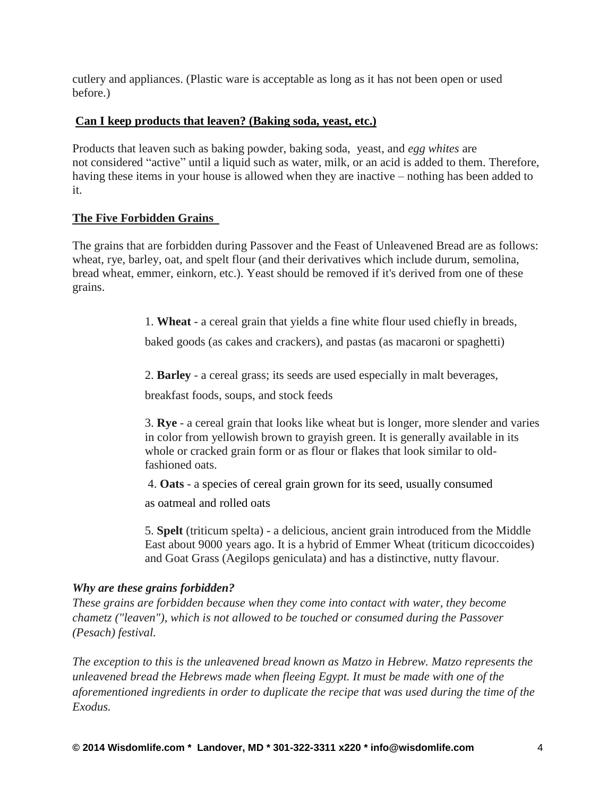cutlery and appliances. (Plastic ware is acceptable as long as it has not been open or used before.)

## **Can I keep products that leaven? (Baking soda, yeast, etc.)**

Products that leaven such as baking powder, baking soda, yeast, and *egg whites* are not considered "active" until a liquid such as water, milk, or an acid is added to them. Therefore, having these items in your house is allowed when they are inactive – nothing has been added to it.

## **The Five Forbidden Grains**

The grains that are forbidden during Passover and the Feast of Unleavened Bread are as follows: wheat, rye, barley, oat, and spelt flour (and their derivatives which include durum, semolina, bread wheat, emmer, einkorn, etc.). Yeast should be removed if it's derived from one of these grains.

1. **Wheat** - a cereal grain that yields a fine white flour used chiefly in breads,

baked goods (as cakes and crackers), and pastas (as macaroni or spaghetti)

2. **Barley** - a cereal grass; its seeds are used especially in malt beverages,

breakfast foods, soups, and stock feeds

3. **Rye** - a cereal grain that looks like wheat but is longer, more slender and varies in color from yellowish brown to grayish green. It is generally available in its whole or cracked grain form or as flour or flakes that look similar to oldfashioned oats.

4. **Oats** - a species of cereal grain grown for its seed, usually consumed

as oatmeal and rolled oats

5. **Spelt** (triticum spelta) - a delicious, ancient grain introduced from the Middle East about 9000 years ago. It is a hybrid of Emmer Wheat (triticum dicoccoides) and Goat Grass (Aegilops geniculata) and has a distinctive, nutty flavour.

## *Why are these grains forbidden?*

*These grains are forbidden because when they come into contact with water, they become chametz ("leaven"), which is not allowed to be touched or consumed during the Passover (Pesach) festival.*

*The exception to this is the unleavened bread known as Matzo in Hebrew. Matzo represents the unleavened bread the Hebrews made when fleeing Egypt. It must be made with one of the aforementioned ingredients in order to duplicate the recipe that was used during the time of the Exodus.*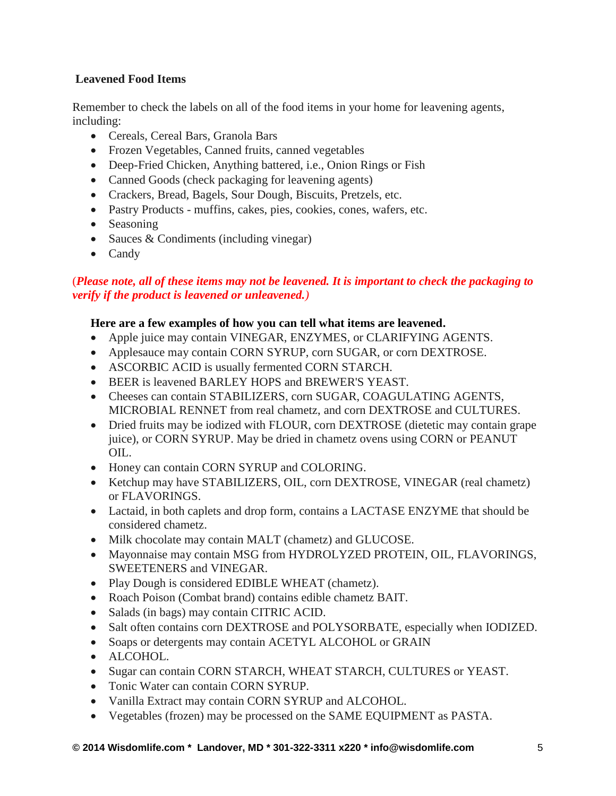## **Leavened Food Items**

Remember to check the labels on all of the food items in your home for leavening agents, including:

- Cereals, Cereal Bars, Granola Bars
- Frozen Vegetables, Canned fruits, canned vegetables
- Deep-Fried Chicken, Anything battered, i.e., Onion Rings or Fish
- Canned Goods (check packaging for leavening agents)
- Crackers, Bread, Bagels, Sour Dough, Biscuits, Pretzels, etc.
- Pastry Products muffins, cakes, pies, cookies, cones, wafers, etc.
- Seasoning
- Sauces & Condiments (including vinegar)
- Candy

# (*Please note, all of these items may not be leavened. It is important to check the packaging to verify if the product is leavened or unleavened.)*

## **Here are a few examples of how you can tell what items are leavened.**

- Apple juice may contain VINEGAR, ENZYMES, or CLARIFYING AGENTS.
- Applesauce may contain CORN SYRUP, corn SUGAR, or corn DEXTROSE.
- ASCORBIC ACID is usually fermented CORN STARCH.
- BEER is leavened BARLEY HOPS and BREWER'S YEAST.
- Cheeses can contain STABILIZERS, corn SUGAR, COAGULATING AGENTS, MICROBIAL RENNET from real chametz, and corn DEXTROSE and CULTURES.
- Dried fruits may be iodized with FLOUR, corn DEXTROSE (dietetic may contain grape juice), or CORN SYRUP. May be dried in chametz ovens using CORN or PEANUT OIL.
- Honey can contain CORN SYRUP and COLORING.
- Ketchup may have STABILIZERS, OIL, corn DEXTROSE, VINEGAR (real chametz) or FLAVORINGS.
- Lactaid, in both caplets and drop form, contains a LACTASE ENZYME that should be considered chametz.
- Milk chocolate may contain MALT (chametz) and GLUCOSE.
- Mayonnaise may contain MSG from HYDROLYZED PROTEIN, OIL, FLAVORINGS, SWEETENERS and VINEGAR.
- Play Dough is considered EDIBLE WHEAT (chametz).
- Roach Poison (Combat brand) contains edible chametz BAIT.
- Salads (in bags) may contain CITRIC ACID.
- Salt often contains corn DEXTROSE and POLYSORBATE, especially when IODIZED.
- Soaps or detergents may contain ACETYL ALCOHOL or GRAIN
- ALCOHOL.
- Sugar can contain CORN STARCH, WHEAT STARCH, CULTURES or YEAST.
- Tonic Water can contain CORN SYRUP.
- Vanilla Extract may contain CORN SYRUP and ALCOHOL.
- Vegetables (frozen) may be processed on the SAME EQUIPMENT as PASTA.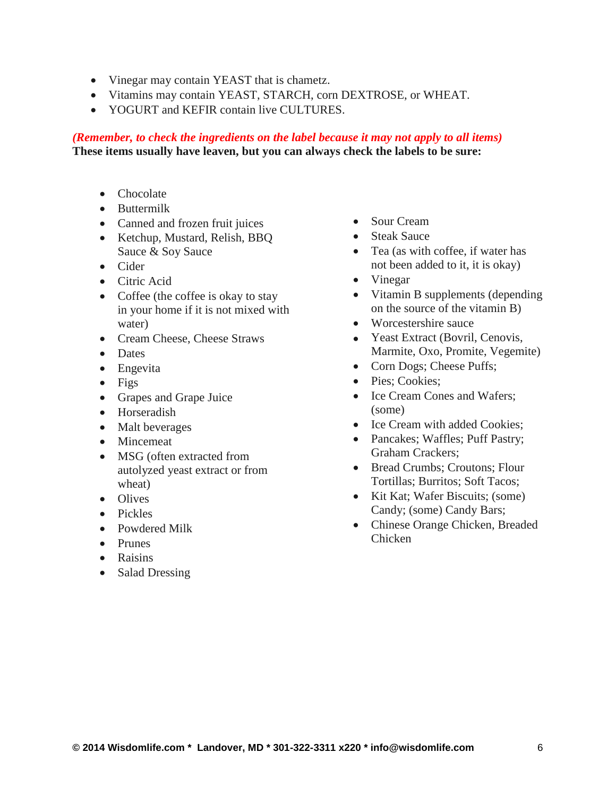- Vinegar may contain YEAST that is chametz.
- Vitamins may contain YEAST, STARCH, corn DEXTROSE, or WHEAT.
- YOGURT and KEFIR contain live CULTURES.

## *(Remember, to check the ingredients on the label because it may not apply to all items)* **These items usually have leaven, but you can always check the labels to be sure:**

- Chocolate
- Buttermilk
- Canned and frozen fruit juices
- Ketchup, Mustard, Relish, BBO Sauce & Soy Sauce
- Cider
- Citric Acid
- Coffee (the coffee is okay to stay in your home if it is not mixed with water)
- Cream Cheese, Cheese Straws
- Dates
- Engevita
- $\bullet$  Figs
- Grapes and Grape Juice
- Horseradish
- Malt beverages
- Mincemeat
- MSG (often extracted from autolyzed yeast extract or from wheat)
- Olives
- Pickles
- Powdered Milk
- Prunes
- Raisins
- Salad Dressing
- Sour Cream
- Steak Sauce
- Tea (as with coffee, if water has not been added to it, it is okay)
- Vinegar
- Vitamin B supplements (depending on the source of the vitamin B)
- Worcestershire sauce
- Yeast Extract (Bovril, Cenovis, Marmite, Oxo, Promite, Vegemite)
- Corn Dogs; Cheese Puffs;
- Pies: Cookies:
- Ice Cream Cones and Wafers; (some)
- Ice Cream with added Cookies:
- Pancakes; Waffles; Puff Pastry; Graham Crackers;
- Bread Crumbs; Croutons; Flour Tortillas; Burritos; Soft Tacos;
- Kit Kat; Wafer Biscuits; (some) Candy; (some) Candy Bars;
- Chinese Orange Chicken, Breaded Chicken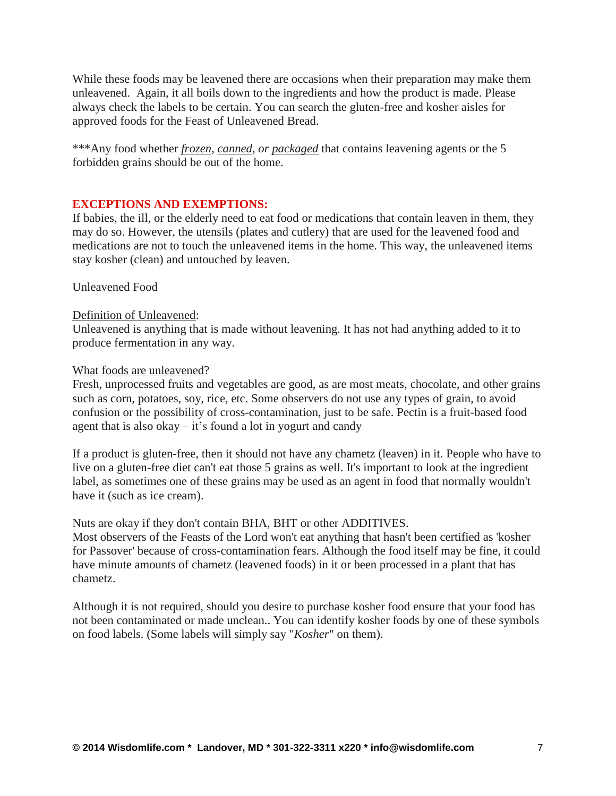While these foods may be leavened there are occasions when their preparation may make them unleavened. Again, it all boils down to the ingredients and how the product is made. Please always check the labels to be certain. You can search the gluten-free and kosher aisles for approved foods for the Feast of Unleavened Bread.

\*\*\*Any food whether *frozen, canned, or packaged* that contains leavening agents or the 5 forbidden grains should be out of the home.

## **EXCEPTIONS AND EXEMPTIONS:**

If babies, the ill, or the elderly need to eat food or medications that contain leaven in them, they may do so. However, the utensils (plates and cutlery) that are used for the leavened food and medications are not to touch the unleavened items in the home. This way, the unleavened items stay kosher (clean) and untouched by leaven.

Unleavened Food

## Definition of Unleavened:

Unleavened is anything that is made without leavening. It has not had anything added to it to produce fermentation in any way.

#### What foods are unleavened?

Fresh, unprocessed fruits and vegetables are good, as are most meats, chocolate, and other grains such as corn, potatoes, soy, rice, etc. Some observers do not use any types of grain, to avoid confusion or the possibility of cross-contamination, just to be safe. Pectin is a fruit-based food agent that is also okay  $-$  it's found a lot in yogurt and candy

If a product is gluten-free, then it should not have any chametz (leaven) in it. People who have to live on a gluten-free diet can't eat those 5 grains as well. It's important to look at the ingredient label, as sometimes one of these grains may be used as an agent in food that normally wouldn't have it (such as ice cream).

Nuts are okay if they don't contain BHA, BHT or other ADDITIVES.

Most observers of the Feasts of the Lord won't eat anything that hasn't been certified as 'kosher for Passover' because of cross-contamination fears. Although the food itself may be fine, it could have minute amounts of chametz (leavened foods) in it or been processed in a plant that has chametz.

Although it is not required, should you desire to purchase kosher food ensure that your food has not been contaminated or made unclean.. You can identify kosher foods by one of these symbols on food labels. (Some labels will simply say "*Kosher*" on them).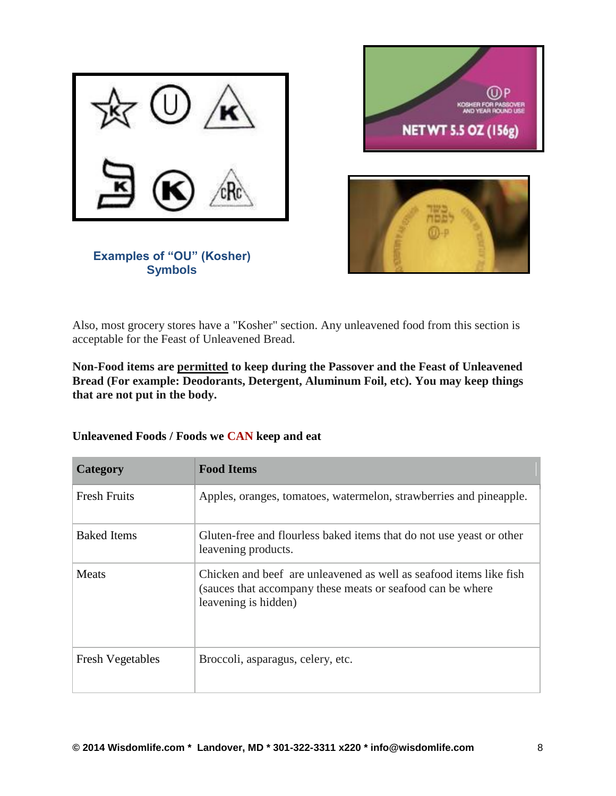





**Examples of "OU" (Kosher) Symbols**

Also, most grocery stores have a "Kosher" section. Any unleavened food from this section is acceptable for the Feast of Unleavened Bread.

**Non-Food items are permitted to keep during the Passover and the Feast of Unleavened**  Bread (For example: Deodorants, Detergent, Aluminum Foil, etc). You may keep things that are not put in the body.

| Category                | <b>Food Items</b>                                                                                                                                        |
|-------------------------|----------------------------------------------------------------------------------------------------------------------------------------------------------|
| <b>Fresh Fruits</b>     | Apples, oranges, tomatoes, watermelon, strawberries and pineapple.                                                                                       |
| <b>Baked Items</b>      | Gluten-free and flourless baked items that do not use yeast or other<br>leavening products.                                                              |
| Meats                   | Chicken and beef are unleavened as well as seafood items like fish<br>(sauces that accompany these meats or seafood can be where<br>leavening is hidden) |
| <b>Fresh Vegetables</b> | Broccoli, asparagus, celery, etc.                                                                                                                        |

Unleavened Foods / Foods we CAN keep and eat

**Examples of "OU" (Kosher) Symbols**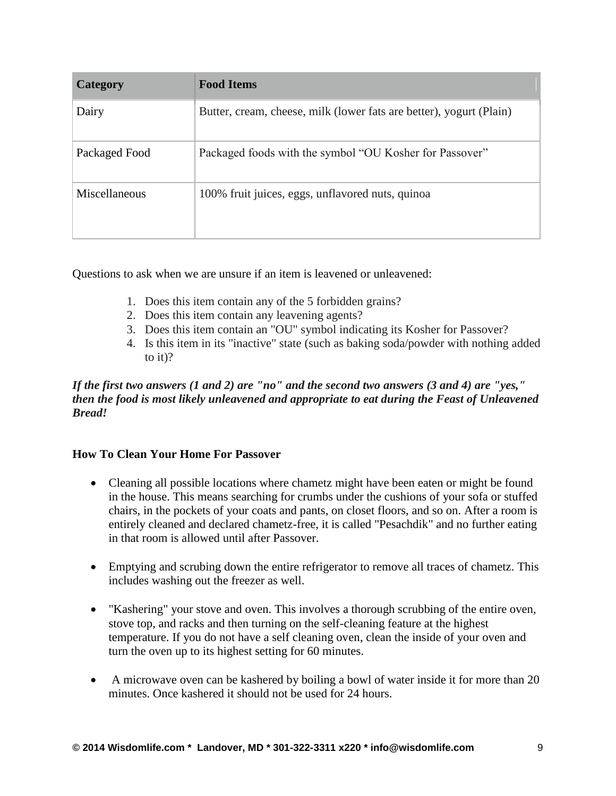| Category      | <b>Food Items</b>                                                   |
|---------------|---------------------------------------------------------------------|
| Dairy         | Butter, cream, cheese, milk (lower fats are better), yogurt (Plain) |
| Packaged Food | Packaged foods with the symbol "OU Kosher for Passover"             |
| Miscellaneous | 100% fruit juices, eggs, unflavored nuts, quinoa                    |

Questions to ask when we are unsure if an item is leavened or unleavened:

- 1. Does this item contain any of the 5 forbidden grains?
- 2. Does this item contain any leavening agents?
- 3. Does this item contain an "OU" symbol indicating its Kosher for Passover?
- 4. Is this item in its "inactive" state (such as baking soda/powder with nothing added to it)?

## *If the first two answers (1 and 2) are "no" and the second two answers (3 and 4) are "yes," then the food is most likely unleavened and appropriate to eat during the Feast of Unleavened Bread!*

## **How To Clean Your Home For Passover**

- Cleaning all possible locations where chametz might have been eaten or might be found in the house. This means searching for crumbs under the cushions of your sofa or stuffed chairs, in the pockets of your coats and pants, on closet floors, and so on. After a room is entirely cleaned and declared chametz-free, it is called "Pesachdik" and no further eating in that room is allowed until after Passover.
- Emptying and scrubing down the entire refrigerator to remove all traces of chametz. This includes washing out the freezer as well.
- "Kashering" your stove and oven. This involves a thorough scrubbing of the entire oven, stove top, and racks and then turning on the self-cleaning feature at the highest temperature. If you do not have a self cleaning oven, clean the inside of your oven and turn the oven up to its highest setting for 60 minutes.
- A microwave oven can be kashered by boiling a bowl of water inside it for more than 20 minutes. Once kashered it should not be used for 24 hours.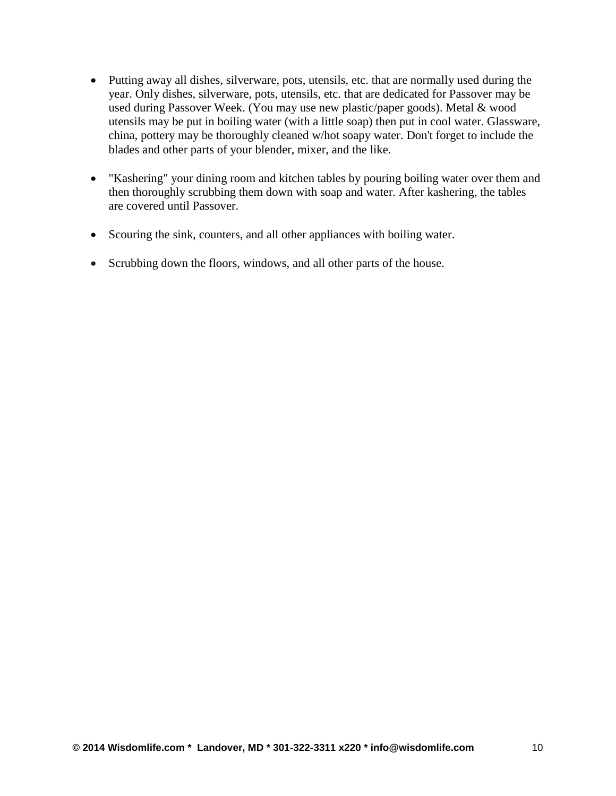- Putting away all dishes, silverware, pots, utensils, etc. that are normally used during the year. Only dishes, silverware, pots, utensils, etc. that are dedicated for Passover may be used during Passover Week. (You may use new plastic/paper goods). Metal & wood utensils may be put in boiling water (with a little soap) then put in cool water. Glassware, china, pottery may be thoroughly cleaned w/hot soapy water. Don't forget to include the blades and other parts of your blender, mixer, and the like.
- "Kashering" your dining room and kitchen tables by pouring boiling water over them and then thoroughly scrubbing them down with soap and water. After kashering, the tables are covered until Passover.
- Scouring the sink, counters, and all other appliances with boiling water.
- Scrubbing down the floors, windows, and all other parts of the house.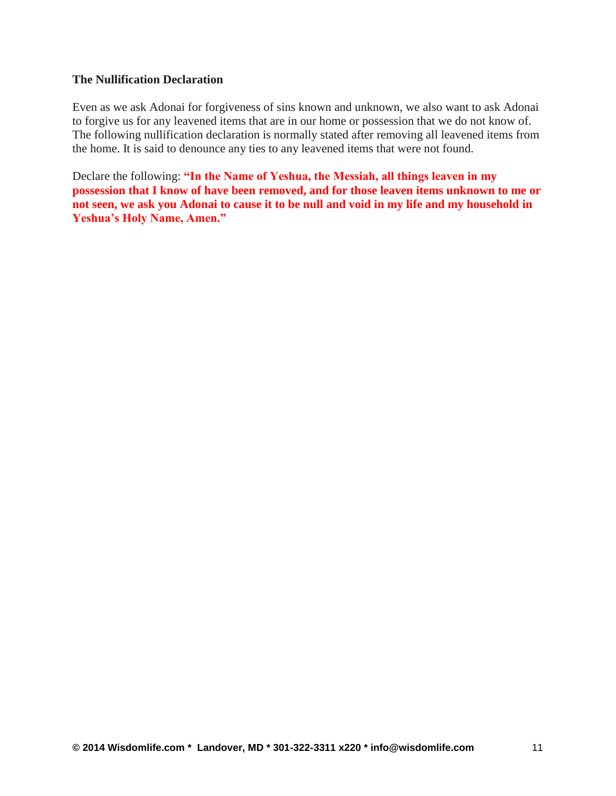#### **The Nullification Declaration**

Even as we ask Adonai for forgiveness of sins known and unknown, we also want to ask Adonai to forgive us for any leavened items that are in our home or possession that we do not know of. The following nullification declaration is normally stated after removing all leavened items from the home. It is said to denounce any ties to any leavened items that were not found.

Declare the following: **"In the Name of Yeshua, the Messiah, all things leaven in my possession that I know of have been removed, and for those leaven items unknown to me or not seen, we ask you Adonai to cause it to be null and void in my life and my household in Yeshua's Holy Name, Amen."**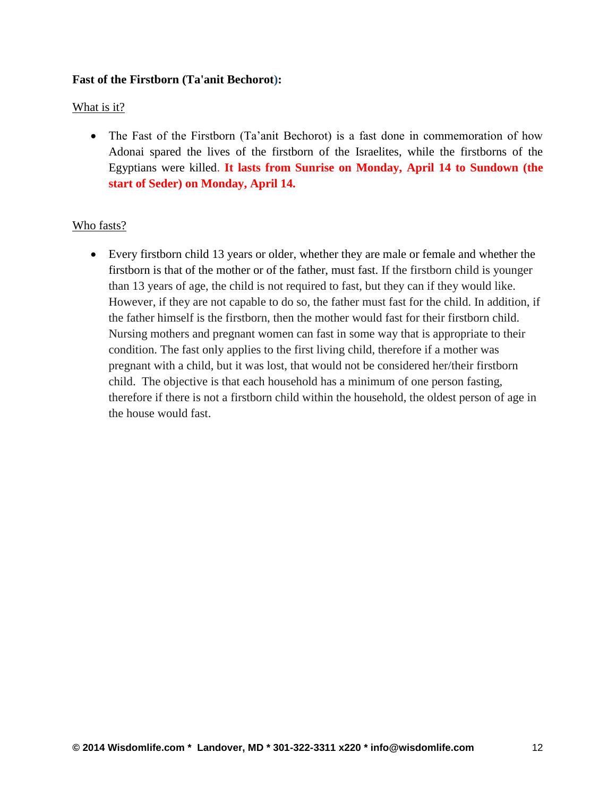## **Fast of the Firstborn (Ta'anit Bechorot):**

## What is it?

• The Fast of the Firstborn (Ta'anit Bechorot) is a fast done in commemoration of how Adonai spared the lives of the firstborn of the Israelites, while the firstborns of the Egyptians were killed. **It lasts from Sunrise on Monday, April 14 to Sundown (the start of Seder) on Monday, April 14.**

## Who fasts?

 Every firstborn child 13 years or older, whether they are male or female and whether the firstborn is that of the mother or of the father, must fast. If the firstborn child is younger than 13 years of age, the child is not required to fast, but they can if they would like. However, if they are not capable to do so, the father must fast for the child. In addition, if the father himself is the firstborn, then the mother would fast for their firstborn child. Nursing mothers and pregnant women can fast in some way that is appropriate to their condition. The fast only applies to the first living child, therefore if a mother was pregnant with a child, but it was lost, that would not be considered her/their firstborn child. The objective is that each household has a minimum of one person fasting, therefore if there is not a firstborn child within the household, the oldest person of age in the house would fast.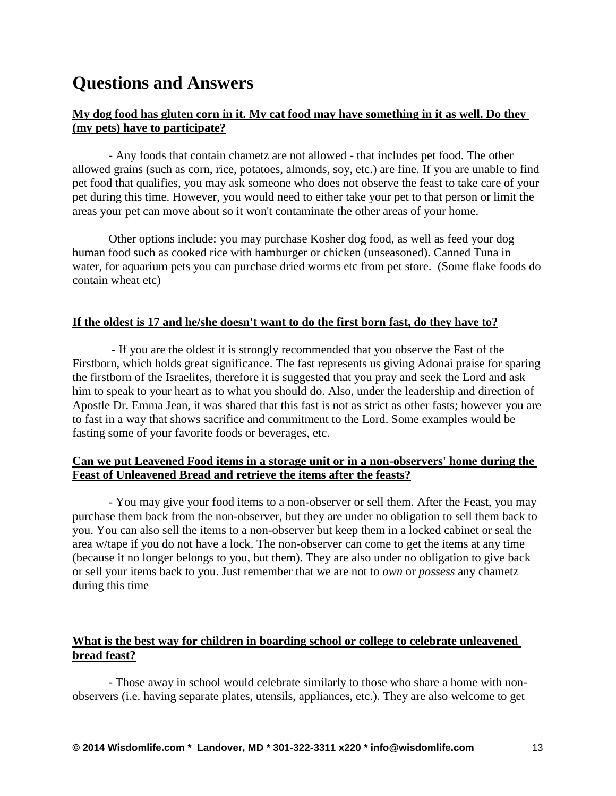# **Questions and Answers**

## **My dog food has gluten corn in it. My cat food may have something in it as well. Do they (my pets) have to participate?**

- Any foods that contain chametz are not allowed - that includes pet food. The other allowed grains (such as corn, rice, potatoes, almonds, soy, etc.) are fine. If you are unable to find pet food that qualifies, you may ask someone who does not observe the feast to take care of your pet during this time. However, you would need to either take your pet to that person or limit the areas your pet can move about so it won't contaminate the other areas of your home.

Other options include: you may purchase Kosher dog food, as well as feed your dog human food such as cooked rice with hamburger or chicken (unseasoned). Canned Tuna in water, for aquarium pets you can purchase dried worms etc from pet store. (Some flake foods do contain wheat etc)

## **If the oldest is 17 and he/she doesn't want to do the first born fast, do they have to?**

- If you are the oldest it is strongly recommended that you observe the Fast of the Firstborn, which holds great significance. The fast represents us giving Adonai praise for sparing the firstborn of the Israelites, therefore it is suggested that you pray and seek the Lord and ask him to speak to your heart as to what you should do. Also, under the leadership and direction of Apostle Dr. Emma Jean, it was shared that this fast is not as strict as other fasts; however you are to fast in a way that shows sacrifice and commitment to the Lord. Some examples would be fasting some of your favorite foods or beverages, etc.

## **Can we put Leavened Food items in a storage unit or in a non-observers' home during the Feast of Unleavened Bread and retrieve the items after the feasts?**

- You may give your food items to a non-observer or sell them. After the Feast, you may purchase them back from the non-observer, but they are under no obligation to sell them back to you. You can also sell the items to a non-observer but keep them in a locked cabinet or seal the area w/tape if you do not have a lock. The non-observer can come to get the items at any time (because it no longer belongs to you, but them). They are also under no obligation to give back or sell your items back to you. Just remember that we are not to *own* or *possess* any chametz during this time

## **What is the best way for children in boarding school or college to celebrate unleavened bread feast?**

- Those away in school would celebrate similarly to those who share a home with nonobservers (i.e. having separate plates, utensils, appliances, etc.). They are also welcome to get